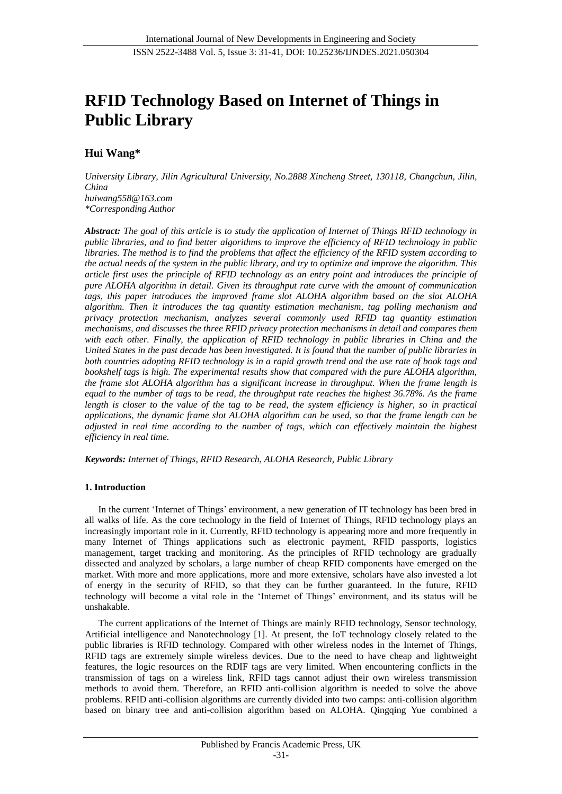# **RFID Technology Based on Internet of Things in Public Library**

# **Hui Wang\***

*University Library, Jilin Agricultural University, No.2888 Xincheng Street, 130118, Changchun, Jilin, China huiwang558@163.com \*Corresponding Author* 

*Abstract: The goal of this article is to study the application of Internet of Things RFID technology in public libraries, and to find better algorithms to improve the efficiency of RFID technology in public libraries. The method is to find the problems that affect the efficiency of the RFID system according to the actual needs of the system in the public library, and try to optimize and improve the algorithm. This article first uses the principle of RFID technology as an entry point and introduces the principle of pure ALOHA algorithm in detail. Given its throughput rate curve with the amount of communication tags, this paper introduces the improved frame slot ALOHA algorithm based on the slot ALOHA algorithm. Then it introduces the tag quantity estimation mechanism, tag polling mechanism and privacy protection mechanism, analyzes several commonly used RFID tag quantity estimation mechanisms, and discusses the three RFID privacy protection mechanisms in detail and compares them with each other. Finally, the application of RFID technology in public libraries in China and the United States in the past decade has been investigated. It is found that the number of public libraries in both countries adopting RFID technology is in a rapid growth trend and the use rate of book tags and bookshelf tags is high. The experimental results show that compared with the pure ALOHA algorithm, the frame slot ALOHA algorithm has a significant increase in throughput. When the frame length is equal to the number of tags to be read, the throughput rate reaches the highest 36.78%. As the frame length is closer to the value of the tag to be read, the system efficiency is higher, so in practical applications, the dynamic frame slot ALOHA algorithm can be used, so that the frame length can be adjusted in real time according to the number of tags, which can effectively maintain the highest efficiency in real time.*

*Keywords: Internet of Things, RFID Research, ALOHA Research, Public Library*

# **1. Introduction**

In the current 'Internet of Things' environment, a new generation of IT technology has been bred in all walks of life. As the core technology in the field of Internet of Things, RFID technology plays an increasingly important role in it. Currently, RFID technology is appearing more and more frequently in many Internet of Things applications such as electronic payment, RFID passports, logistics management, target tracking and monitoring. As the principles of RFID technology are gradually dissected and analyzed by scholars, a large number of cheap RFID components have emerged on the market. With more and more applications, more and more extensive, scholars have also invested a lot of energy in the security of RFID, so that they can be further guaranteed. In the future, RFID technology will become a vital role in the 'Internet of Things' environment, and its status will be unshakable.

The current applications of the Internet of Things are mainly RFID technology, Sensor technology, Artificial intelligence and Nanotechnology [1]. At present, the IoT technology closely related to the public libraries is RFID technology. Compared with other wireless nodes in the Internet of Things, RFID tags are extremely simple wireless devices. Due to the need to have cheap and lightweight features, the logic resources on the RDIF tags are very limited. When encountering conflicts in the transmission of tags on a wireless link, RFID tags cannot adjust their own wireless transmission methods to avoid them. Therefore, an RFID anti-collision algorithm is needed to solve the above problems. RFID anti-collision algorithms are currently divided into two camps: anti-collision algorithm based on binary tree and anti-collision algorithm based on ALOHA. Qingqing Yue combined a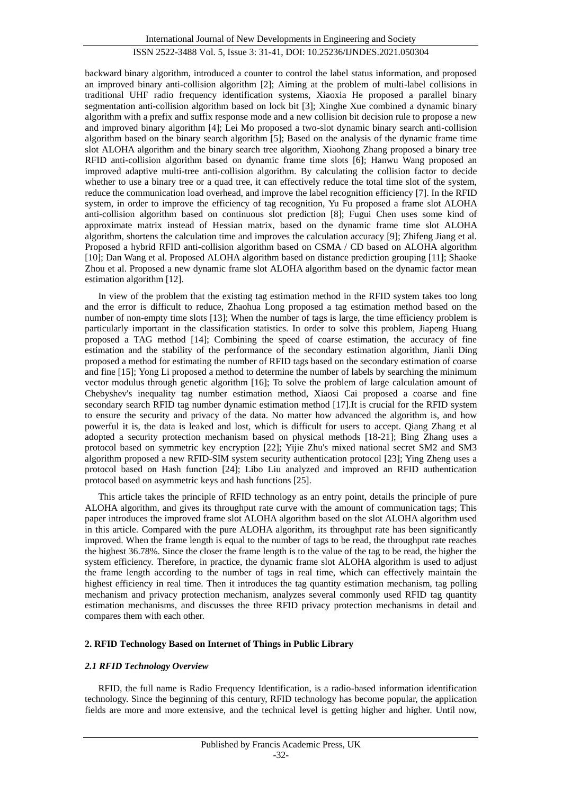backward binary algorithm, introduced a counter to control the label status information, and proposed an improved binary anti-collision algorithm [2]; Aiming at the problem of multi-label collisions in traditional UHF radio frequency identification systems, Xiaoxia He proposed a parallel binary segmentation anti-collision algorithm based on lock bit [3]; Xinghe Xue combined a dynamic binary algorithm with a prefix and suffix response mode and a new collision bit decision rule to propose a new and improved binary algorithm [4]; Lei Mo proposed a two-slot dynamic binary search anti-collision algorithm based on the binary search algorithm [5]; Based on the analysis of the dynamic frame time slot ALOHA algorithm and the binary search tree algorithm, Xiaohong Zhang proposed a binary tree RFID anti-collision algorithm based on dynamic frame time slots [6]; Hanwu Wang proposed an improved adaptive multi-tree anti-collision algorithm. By calculating the collision factor to decide whether to use a binary tree or a quad tree, it can effectively reduce the total time slot of the system, reduce the communication load overhead, and improve the label recognition efficiency [7]. In the RFID system, in order to improve the efficiency of tag recognition, Yu Fu proposed a frame slot ALOHA anti-collision algorithm based on continuous slot prediction [8]; Fugui Chen uses some kind of approximate matrix instead of Hessian matrix, based on the dynamic frame time slot ALOHA algorithm, shortens the calculation time and improves the calculation accuracy [9]; Zhifeng Jiang et al. Proposed a hybrid RFID anti-collision algorithm based on CSMA / CD based on ALOHA algorithm [10]; Dan Wang et al. Proposed ALOHA algorithm based on distance prediction grouping [11]; Shaoke Zhou et al. Proposed a new dynamic frame slot ALOHA algorithm based on the dynamic factor mean estimation algorithm [12].

In view of the problem that the existing tag estimation method in the RFID system takes too long and the error is difficult to reduce, Zhaohua Long proposed a tag estimation method based on the number of non-empty time slots [13]; When the number of tags is large, the time efficiency problem is particularly important in the classification statistics. In order to solve this problem, Jiapeng Huang proposed a TAG method [14]; Combining the speed of coarse estimation, the accuracy of fine estimation and the stability of the performance of the secondary estimation algorithm, Jianli Ding proposed a method for estimating the number of RFID tags based on the secondary estimation of coarse and fine [15]; Yong Li proposed a method to determine the number of labels by searching the minimum vector modulus through genetic algorithm [16]; To solve the problem of large calculation amount of Chebyshev's inequality tag number estimation method, Xiaosi Cai proposed a coarse and fine secondary search RFID tag number dynamic estimation method [17].It is crucial for the RFID system to ensure the security and privacy of the data. No matter how advanced the algorithm is, and how powerful it is, the data is leaked and lost, which is difficult for users to accept. Qiang Zhang et al adopted a security protection mechanism based on physical methods [18-21]; Bing Zhang uses a protocol based on symmetric key encryption [22]; Yijie Zhu's mixed national secret SM2 and SM3 algorithm proposed a new RFID-SIM system security authentication protocol [23]; Ying Zheng uses a protocol based on Hash function [24]; Libo Liu analyzed and improved an RFID authentication protocol based on asymmetric keys and hash functions [25].

This article takes the principle of RFID technology as an entry point, details the principle of pure ALOHA algorithm, and gives its throughput rate curve with the amount of communication tags; This paper introduces the improved frame slot ALOHA algorithm based on the slot ALOHA algorithm used in this article. Compared with the pure ALOHA algorithm, its throughput rate has been significantly improved. When the frame length is equal to the number of tags to be read, the throughput rate reaches the highest 36.78%. Since the closer the frame length is to the value of the tag to be read, the higher the system efficiency. Therefore, in practice, the dynamic frame slot ALOHA algorithm is used to adjust the frame length according to the number of tags in real time, which can effectively maintain the highest efficiency in real time. Then it introduces the tag quantity estimation mechanism, tag polling mechanism and privacy protection mechanism, analyzes several commonly used RFID tag quantity estimation mechanisms, and discusses the three RFID privacy protection mechanisms in detail and compares them with each other.

## **2. RFID Technology Based on Internet of Things in Public Library**

## *2.1 RFID Technology Overview*

RFID, the full name is Radio Frequency Identification, is a radio-based information identification technology. Since the beginning of this century, RFID technology has become popular, the application fields are more and more extensive, and the technical level is getting higher and higher. Until now,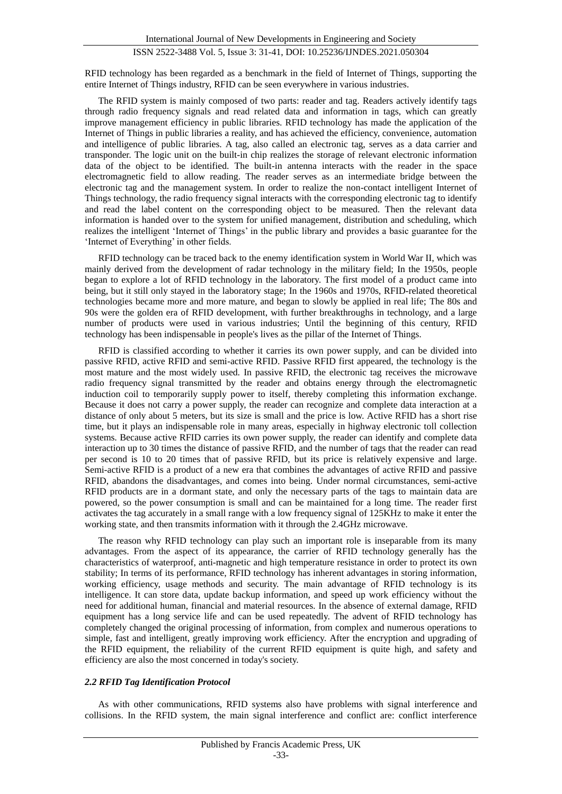RFID technology has been regarded as a benchmark in the field of Internet of Things, supporting the entire Internet of Things industry, RFID can be seen everywhere in various industries.

The RFID system is mainly composed of two parts: reader and tag. Readers actively identify tags through radio frequency signals and read related data and information in tags, which can greatly improve management efficiency in public libraries. RFID technology has made the application of the Internet of Things in public libraries a reality, and has achieved the efficiency, convenience, automation and intelligence of public libraries. A tag, also called an electronic tag, serves as a data carrier and transponder. The logic unit on the built-in chip realizes the storage of relevant electronic information data of the object to be identified. The built-in antenna interacts with the reader in the space electromagnetic field to allow reading. The reader serves as an intermediate bridge between the electronic tag and the management system. In order to realize the non-contact intelligent Internet of Things technology, the radio frequency signal interacts with the corresponding electronic tag to identify and read the label content on the corresponding object to be measured. Then the relevant data information is handed over to the system for unified management, distribution and scheduling, which realizes the intelligent 'Internet of Things' in the public library and provides a basic guarantee for the 'Internet of Everything' in other fields.

RFID technology can be traced back to the enemy identification system in World War II, which was mainly derived from the development of radar technology in the military field; In the 1950s, people began to explore a lot of RFID technology in the laboratory. The first model of a product came into being, but it still only stayed in the laboratory stage; In the 1960s and 1970s, RFID-related theoretical technologies became more and more mature, and began to slowly be applied in real life; The 80s and 90s were the golden era of RFID development, with further breakthroughs in technology, and a large number of products were used in various industries; Until the beginning of this century, RFID technology has been indispensable in people's lives as the pillar of the Internet of Things.

RFID is classified according to whether it carries its own power supply, and can be divided into passive RFID, active RFID and semi-active RFID. Passive RFID first appeared, the technology is the most mature and the most widely used. In passive RFID, the electronic tag receives the microwave radio frequency signal transmitted by the reader and obtains energy through the electromagnetic induction coil to temporarily supply power to itself, thereby completing this information exchange. Because it does not carry a power supply, the reader can recognize and complete data interaction at a distance of only about 5 meters, but its size is small and the price is low. Active RFID has a short rise time, but it plays an indispensable role in many areas, especially in highway electronic toll collection systems. Because active RFID carries its own power supply, the reader can identify and complete data interaction up to 30 times the distance of passive RFID, and the number of tags that the reader can read per second is 10 to 20 times that of passive RFID, but its price is relatively expensive and large. Semi-active RFID is a product of a new era that combines the advantages of active RFID and passive RFID, abandons the disadvantages, and comes into being. Under normal circumstances, semi-active RFID products are in a dormant state, and only the necessary parts of the tags to maintain data are powered, so the power consumption is small and can be maintained for a long time. The reader first activates the tag accurately in a small range with a low frequency signal of 125KHz to make it enter the working state, and then transmits information with it through the 2.4GHz microwave.

The reason why RFID technology can play such an important role is inseparable from its many advantages. From the aspect of its appearance, the carrier of RFID technology generally has the characteristics of waterproof, anti-magnetic and high temperature resistance in order to protect its own stability; In terms of its performance, RFID technology has inherent advantages in storing information, working efficiency, usage methods and security. The main advantage of RFID technology is its intelligence. It can store data, update backup information, and speed up work efficiency without the need for additional human, financial and material resources. In the absence of external damage, RFID equipment has a long service life and can be used repeatedly. The advent of RFID technology has completely changed the original processing of information, from complex and numerous operations to simple, fast and intelligent, greatly improving work efficiency. After the encryption and upgrading of the RFID equipment, the reliability of the current RFID equipment is quite high, and safety and efficiency are also the most concerned in today's society.

#### *2.2 RFID Tag Identification Protocol*

As with other communications, RFID systems also have problems with signal interference and collisions. In the RFID system, the main signal interference and conflict are: conflict interference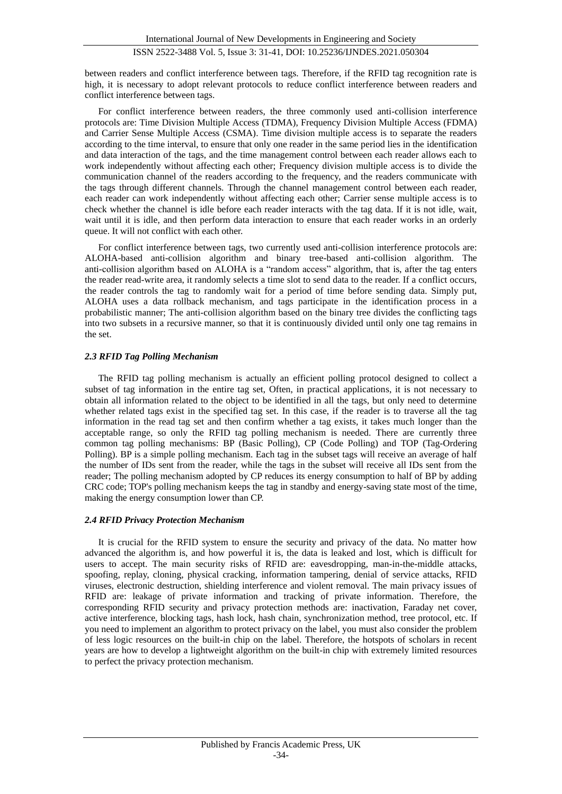between readers and conflict interference between tags. Therefore, if the RFID tag recognition rate is high, it is necessary to adopt relevant protocols to reduce conflict interference between readers and conflict interference between tags.

For conflict interference between readers, the three commonly used anti-collision interference protocols are: Time Division Multiple Access (TDMA), Frequency Division Multiple Access (FDMA) and Carrier Sense Multiple Access (CSMA). Time division multiple access is to separate the readers according to the time interval, to ensure that only one reader in the same period lies in the identification and data interaction of the tags, and the time management control between each reader allows each to work independently without affecting each other; Frequency division multiple access is to divide the communication channel of the readers according to the frequency, and the readers communicate with the tags through different channels. Through the channel management control between each reader, each reader can work independently without affecting each other; Carrier sense multiple access is to check whether the channel is idle before each reader interacts with the tag data. If it is not idle, wait, wait until it is idle, and then perform data interaction to ensure that each reader works in an orderly queue. It will not conflict with each other.

For conflict interference between tags, two currently used anti-collision interference protocols are: ALOHA-based anti-collision algorithm and binary tree-based anti-collision algorithm. The anti-collision algorithm based on ALOHA is a "random access" algorithm, that is, after the tag enters the reader read-write area, it randomly selects a time slot to send data to the reader. If a conflict occurs, the reader controls the tag to randomly wait for a period of time before sending data. Simply put, ALOHA uses a data rollback mechanism, and tags participate in the identification process in a probabilistic manner; The anti-collision algorithm based on the binary tree divides the conflicting tags into two subsets in a recursive manner, so that it is continuously divided until only one tag remains in the set.

## *2.3 RFID Tag Polling Mechanism*

The RFID tag polling mechanism is actually an efficient polling protocol designed to collect a subset of tag information in the entire tag set, Often, in practical applications, it is not necessary to obtain all information related to the object to be identified in all the tags, but only need to determine whether related tags exist in the specified tag set. In this case, if the reader is to traverse all the tag information in the read tag set and then confirm whether a tag exists, it takes much longer than the acceptable range, so only the RFID tag polling mechanism is needed. There are currently three common tag polling mechanisms: BP (Basic Polling), CP (Code Polling) and TOP (Tag-Ordering Polling). BP is a simple polling mechanism. Each tag in the subset tags will receive an average of half the number of IDs sent from the reader, while the tags in the subset will receive all IDs sent from the reader; The polling mechanism adopted by CP reduces its energy consumption to half of BP by adding CRC code; TOP's polling mechanism keeps the tag in standby and energy-saving state most of the time, making the energy consumption lower than CP.

## *2.4 RFID Privacy Protection Mechanism*

It is crucial for the RFID system to ensure the security and privacy of the data. No matter how advanced the algorithm is, and how powerful it is, the data is leaked and lost, which is difficult for users to accept. The main security risks of RFID are: eavesdropping, man-in-the-middle attacks, spoofing, replay, cloning, physical cracking, information tampering, denial of service attacks, RFID viruses, electronic destruction, shielding interference and violent removal. The main privacy issues of RFID are: leakage of private information and tracking of private information. Therefore, the corresponding RFID security and privacy protection methods are: inactivation, Faraday net cover, active interference, blocking tags, hash lock, hash chain, synchronization method, tree protocol, etc. If you need to implement an algorithm to protect privacy on the label, you must also consider the problem of less logic resources on the built-in chip on the label. Therefore, the hotspots of scholars in recent years are how to develop a lightweight algorithm on the built-in chip with extremely limited resources to perfect the privacy protection mechanism.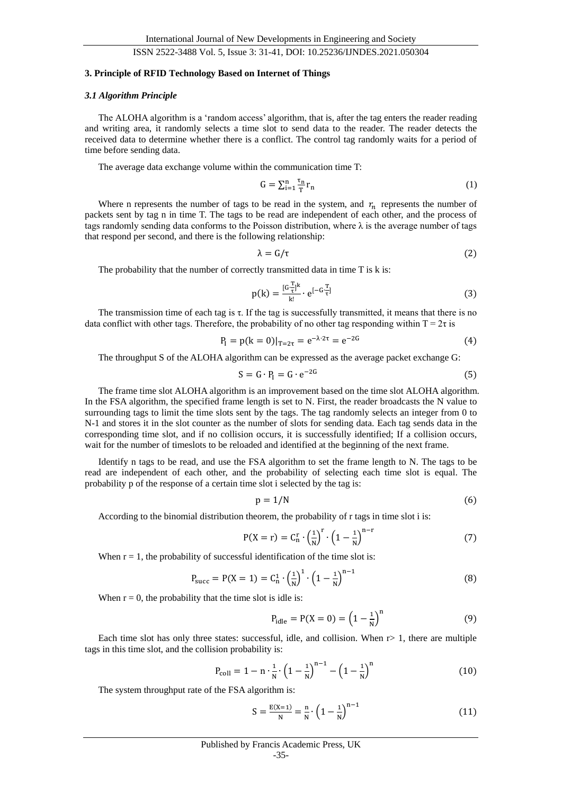#### **3. Principle of RFID Technology Based on Internet of Things**

#### *3.1 Algorithm Principle*

The ALOHA algorithm is a 'random access' algorithm, that is, after the tag enters the reader reading and writing area, it randomly selects a time slot to send data to the reader. The reader detects the received data to determine whether there is a conflict. The control tag randomly waits for a period of time before sending data.

The average data exchange volume within the communication time T:

$$
G = \sum_{i=1}^{n} \frac{\tau_n}{T} r_n \tag{1}
$$

Where n represents the number of tags to be read in the system, and  $r_n$  represents the number of packets sent by tag n in time T. The tags to be read are independent of each other, and the process of tags randomly sending data conforms to the Poisson distribution, where  $\lambda$  is the average number of tags that respond per second, and there is the following relationship:

$$
\lambda = G/\tau \tag{2}
$$

The probability that the number of correctly transmitted data in time T is k is:

$$
p(k) = \frac{[G \frac{T}{\tau}]^{k}}{k!} \cdot e^{[-G \frac{T}{\tau}]} \tag{3}
$$

The transmission time of each tag is τ. If the tag is successfully transmitted, it means that there is no data conflict with other tags. Therefore, the probability of no other tag responding within  $T = 2\tau$  is

$$
P_{I} = p(k = 0)|_{T = 2\tau} = e^{-\lambda \cdot 2\tau} = e^{-2G}
$$
 (4)

The throughput S of the ALOHA algorithm can be expressed as the average packet exchange G:

$$
S = G \cdot P_I = G \cdot e^{-2G} \tag{5}
$$

The frame time slot ALOHA algorithm is an improvement based on the time slot ALOHA algorithm. In the FSA algorithm, the specified frame length is set to N. First, the reader broadcasts the N value to surrounding tags to limit the time slots sent by the tags. The tag randomly selects an integer from 0 to N-1 and stores it in the slot counter as the number of slots for sending data. Each tag sends data in the corresponding time slot, and if no collision occurs, it is successfully identified; If a collision occurs, wait for the number of timeslots to be reloaded and identified at the beginning of the next frame.

Identify n tags to be read, and use the FSA algorithm to set the frame length to N. The tags to be read are independent of each other, and the probability of selecting each time slot is equal. The probability p of the response of a certain time slot i selected by the tag is:

$$
p = 1/N \tag{6}
$$

According to the binomial distribution theorem, the probability of r tags in time slot i is:

$$
P(X=r) = C_n^r \cdot \left(\frac{1}{N}\right)^r \cdot \left(1 - \frac{1}{N}\right)^{n-r}
$$
 (7)

When  $r = 1$ , the probability of successful identification of the time slot is:

$$
P_{succ} = P(X = 1) = C_n^1 \cdot \left(\frac{1}{N}\right)^1 \cdot \left(1 - \frac{1}{N}\right)^{n-1}
$$
 (8)

When  $r = 0$ , the probability that the time slot is idle is:

$$
P_{idle} = P(X = 0) = \left(1 - \frac{1}{N}\right)^{n}
$$
 (9)

Each time slot has only three states: successful, idle, and collision. When  $r > 1$ , there are multiple tags in this time slot, and the collision probability is:

$$
P_{\text{coll}} = 1 - n \cdot \frac{1}{N} \cdot \left(1 - \frac{1}{N}\right)^{n-1} - \left(1 - \frac{1}{N}\right)^n \tag{10}
$$

The system throughput rate of the FSA algorithm is:

$$
S = \frac{E(X=1)}{N} = \frac{n}{N} \cdot \left(1 - \frac{1}{N}\right)^{n-1}
$$
 (11)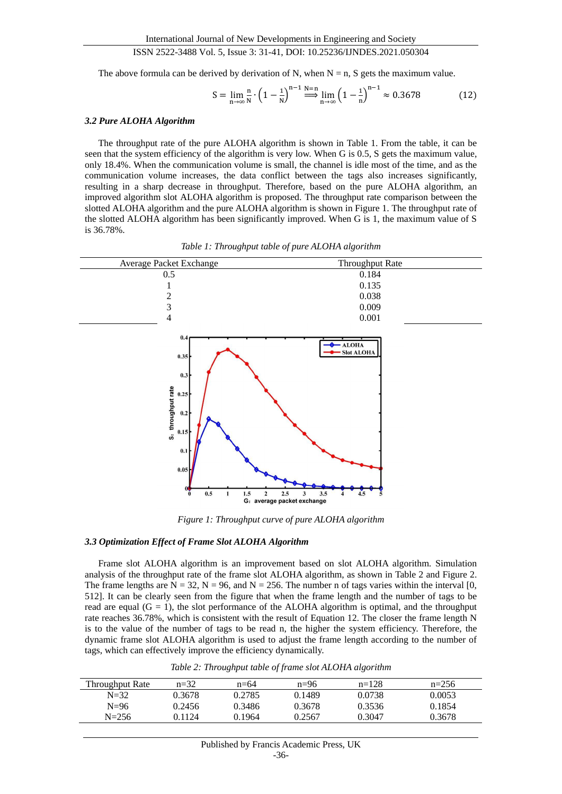The above formula can be derived by derivation of N, when  $N = n$ , S gets the maximum value.

$$
S = \lim_{n \to \infty} \frac{n}{N} \cdot \left(1 - \frac{1}{N}\right)^{n-1} \stackrel{N=n}{\implies} \lim_{n \to \infty} \left(1 - \frac{1}{n}\right)^{n-1} \approx 0.3678\tag{12}
$$

#### *3.2 Pure ALOHA Algorithm*

The throughput rate of the pure ALOHA algorithm is shown in Table 1. From the table, it can be seen that the system efficiency of the algorithm is very low. When G is 0.5, S gets the maximum value, only 18.4%. When the communication volume is small, the channel is idle most of the time, and as the communication volume increases, the data conflict between the tags also increases significantly, resulting in a sharp decrease in throughput. Therefore, based on the pure ALOHA algorithm, an improved algorithm slot ALOHA algorithm is proposed. The throughput rate comparison between the slotted ALOHA algorithm and the pure ALOHA algorithm is shown in Figure 1. The throughput rate of the slotted ALOHA algorithm has been significantly improved. When G is 1, the maximum value of S is 36.78%.



*Table 1: Throughput table of pure ALOHA algorithm*

*Figure 1: Throughput curve of pure ALOHA algorithm*

#### *3.3 Optimization Effect of Frame Slot ALOHA Algorithm*

Frame slot ALOHA algorithm is an improvement based on slot ALOHA algorithm. Simulation analysis of the throughput rate of the frame slot ALOHA algorithm, as shown in Table 2 and Figure 2. The frame lengths are  $N = 32$ ,  $N = 96$ , and  $N = 256$ . The number n of tags varies within the interval [0, 512]. It can be clearly seen from the figure that when the frame length and the number of tags to be read are equal  $(G = 1)$ , the slot performance of the ALOHA algorithm is optimal, and the throughput rate reaches 36.78%, which is consistent with the result of Equation 12. The closer the frame length N is to the value of the number of tags to be read n, the higher the system efficiency. Therefore, the dynamic frame slot ALOHA algorithm is used to adjust the frame length according to the number of tags, which can effectively improve the efficiency dynamically.

|  | Table 2: Throughput table of frame slot ALOHA algorithm |  |
|--|---------------------------------------------------------|--|
|  |                                                         |  |

| Throughput Rate | $n=32$ | $n=64$ | $n=96$ | $n=128$ | $n=256$ |
|-----------------|--------|--------|--------|---------|---------|
| $N=32$          | 0.3678 | 0.2785 | 0.1489 | 0.0738  | 0.0053  |
| $N=96$          | 0.2456 | 0.3486 | 0.3678 | 0.3536  | 0.1854  |
| $N = 256$       | 0.1124 | 0.1964 | 0.2567 | 0.3047  | 0.3678  |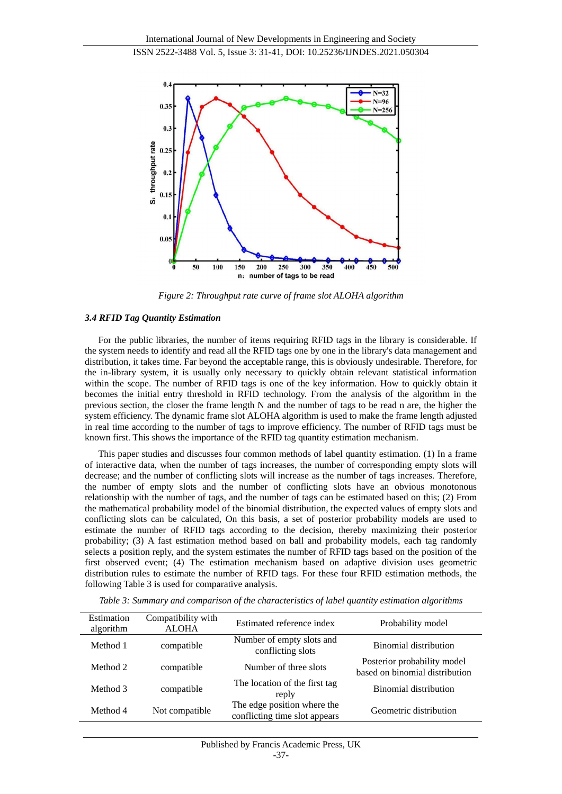

*Figure 2: Throughput rate curve of frame slot ALOHA algorithm*

#### *3.4 RFID Tag Quantity Estimation*

For the public libraries, the number of items requiring RFID tags in the library is considerable. If the system needs to identify and read all the RFID tags one by one in the library's data management and distribution, it takes time. Far beyond the acceptable range, this is obviously undesirable. Therefore, for the in-library system, it is usually only necessary to quickly obtain relevant statistical information within the scope. The number of RFID tags is one of the key information. How to quickly obtain it becomes the initial entry threshold in RFID technology. From the analysis of the algorithm in the previous section, the closer the frame length N and the number of tags to be read n are, the higher the system efficiency. The dynamic frame slot ALOHA algorithm is used to make the frame length adjusted in real time according to the number of tags to improve efficiency. The number of RFID tags must be known first. This shows the importance of the RFID tag quantity estimation mechanism.

This paper studies and discusses four common methods of label quantity estimation. (1) In a frame of interactive data, when the number of tags increases, the number of corresponding empty slots will decrease; and the number of conflicting slots will increase as the number of tags increases. Therefore, the number of empty slots and the number of conflicting slots have an obvious monotonous relationship with the number of tags, and the number of tags can be estimated based on this; (2) From the mathematical probability model of the binomial distribution, the expected values of empty slots and conflicting slots can be calculated, On this basis, a set of posterior probability models are used to estimate the number of RFID tags according to the decision, thereby maximizing their posterior probability; (3) A fast estimation method based on ball and probability models, each tag randomly selects a position reply, and the system estimates the number of RFID tags based on the position of the first observed event; (4) The estimation mechanism based on adaptive division uses geometric distribution rules to estimate the number of RFID tags. For these four RFID estimation methods, the following Table 3 is used for comparative analysis.

| Estimation<br>algorithm | Compatibility with<br><b>ALOHA</b> | Estimated reference index                                    | Probability model                                             |
|-------------------------|------------------------------------|--------------------------------------------------------------|---------------------------------------------------------------|
| Method 1                | compatible                         | Number of empty slots and<br>conflicting slots               | <b>Binomial distribution</b>                                  |
| Method 2                | compatible                         | Number of three slots                                        | Posterior probability model<br>based on binomial distribution |
| Method 3                | compatible                         | The location of the first tag<br>reply                       | Binomial distribution                                         |
| Method 4                | Not compatible                     | The edge position where the<br>conflicting time slot appears | Geometric distribution                                        |

*Table 3: Summary and comparison of the characteristics of label quantity estimation algorithms*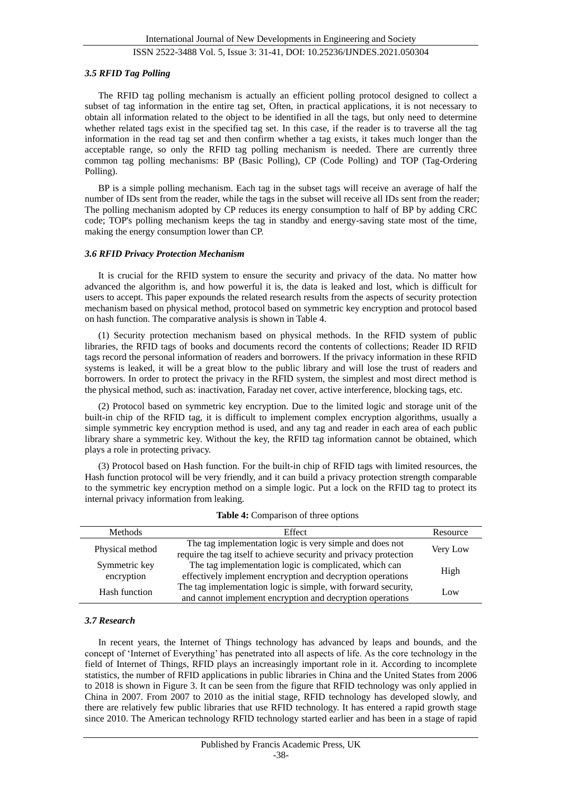#### *3.5 RFID Tag Polling*

The RFID tag polling mechanism is actually an efficient polling protocol designed to collect a subset of tag information in the entire tag set, Often, in practical applications, it is not necessary to obtain all information related to the object to be identified in all the tags, but only need to determine whether related tags exist in the specified tag set. In this case, if the reader is to traverse all the tag information in the read tag set and then confirm whether a tag exists, it takes much longer than the acceptable range, so only the RFID tag polling mechanism is needed. There are currently three common tag polling mechanisms: BP (Basic Polling), CP (Code Polling) and TOP (Tag-Ordering Polling).

BP is a simple polling mechanism. Each tag in the subset tags will receive an average of half the number of IDs sent from the reader, while the tags in the subset will receive all IDs sent from the reader; The polling mechanism adopted by CP reduces its energy consumption to half of BP by adding CRC code; TOP's polling mechanism keeps the tag in standby and energy-saving state most of the time, making the energy consumption lower than CP.

#### *3.6 RFID Privacy Protection Mechanism*

It is crucial for the RFID system to ensure the security and privacy of the data. No matter how advanced the algorithm is, and how powerful it is, the data is leaked and lost, which is difficult for users to accept. This paper expounds the related research results from the aspects of security protection mechanism based on physical method, protocol based on symmetric key encryption and protocol based on hash function. The comparative analysis is shown in Table 4.

(1) Security protection mechanism based on physical methods. In the RFID system of public libraries, the RFID tags of books and documents record the contents of collections; Reader ID RFID tags record the personal information of readers and borrowers. If the privacy information in these RFID systems is leaked, it will be a great blow to the public library and will lose the trust of readers and borrowers. In order to protect the privacy in the RFID system, the simplest and most direct method is the physical method, such as: inactivation, Faraday net cover, active interference, blocking tags, etc.

(2) Protocol based on symmetric key encryption. Due to the limited logic and storage unit of the built-in chip of the RFID tag, it is difficult to implement complex encryption algorithms, usually a simple symmetric key encryption method is used, and any tag and reader in each area of each public library share a symmetric key. Without the key, the RFID tag information cannot be obtained, which plays a role in protecting privacy.

(3) Protocol based on Hash function. For the built-in chip of RFID tags with limited resources, the Hash function protocol will be very friendly, and it can build a privacy protection strength comparable to the symmetric key encryption method on a simple logic. Put a lock on the RFID tag to protect its internal privacy information from leaking.

| <b>Methods</b>              | Effect                                                                                                                        | Resource |
|-----------------------------|-------------------------------------------------------------------------------------------------------------------------------|----------|
| Physical method             | The tag implementation logic is very simple and does not<br>require the tag itself to achieve security and privacy protection | Very Low |
| Symmetric key<br>encryption | The tag implementation logic is complicated, which can<br>effectively implement encryption and decryption operations          | High     |
| Hash function               | The tag implementation logic is simple, with forward security,<br>and cannot implement encryption and decryption operations   | Low      |

|  |  | Table 4: Comparison of three options |  |  |
|--|--|--------------------------------------|--|--|
|--|--|--------------------------------------|--|--|

#### *3.7 Research*

In recent years, the Internet of Things technology has advanced by leaps and bounds, and the concept of 'Internet of Everything' has penetrated into all aspects of life. As the core technology in the field of Internet of Things, RFID plays an increasingly important role in it. According to incomplete statistics, the number of RFID applications in public libraries in China and the United States from 2006 to 2018 is shown in Figure 3. It can be seen from the figure that RFID technology was only applied in China in 2007. From 2007 to 2010 as the initial stage, RFID technology has developed slowly, and there are relatively few public libraries that use RFID technology. It has entered a rapid growth stage since 2010. The American technology RFID technology started earlier and has been in a stage of rapid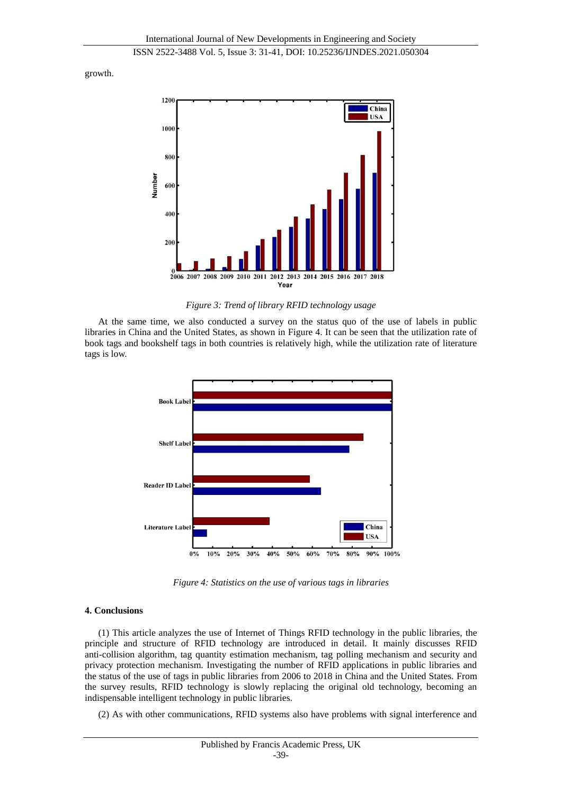growth.



*Figure 3: Trend of library RFID technology usage*

At the same time, we also conducted a survey on the status quo of the use of labels in public libraries in China and the United States, as shown in Figure 4. It can be seen that the utilization rate of book tags and bookshelf tags in both countries is relatively high, while the utilization rate of literature tags is low.



*Figure 4: Statistics on the use of various tags in libraries*

# **4. Conclusions**

(1) This article analyzes the use of Internet of Things RFID technology in the public libraries, the principle and structure of RFID technology are introduced in detail. It mainly discusses RFID anti-collision algorithm, tag quantity estimation mechanism, tag polling mechanism and security and privacy protection mechanism. Investigating the number of RFID applications in public libraries and the status of the use of tags in public libraries from 2006 to 2018 in China and the United States. From the survey results, RFID technology is slowly replacing the original old technology, becoming an indispensable intelligent technology in public libraries.

(2) As with other communications, RFID systems also have problems with signal interference and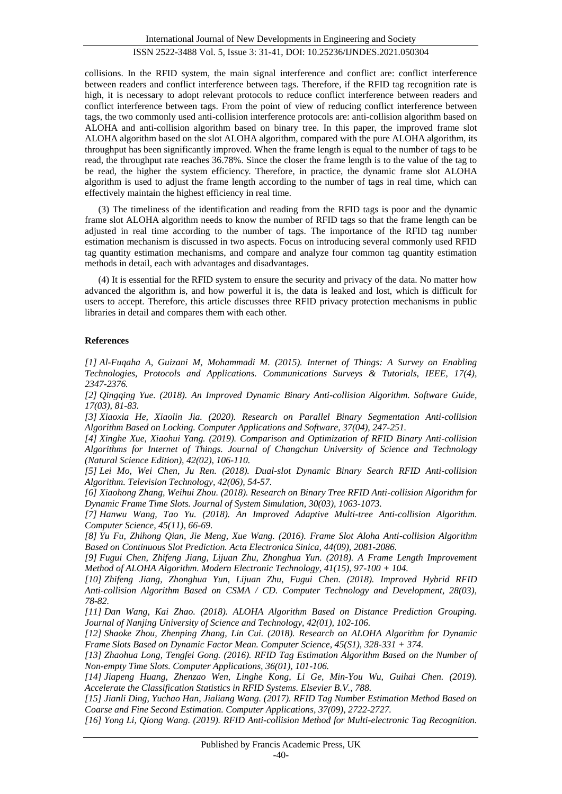collisions. In the RFID system, the main signal interference and conflict are: conflict interference between readers and conflict interference between tags. Therefore, if the RFID tag recognition rate is high, it is necessary to adopt relevant protocols to reduce conflict interference between readers and conflict interference between tags. From the point of view of reducing conflict interference between tags, the two commonly used anti-collision interference protocols are: anti-collision algorithm based on ALOHA and anti-collision algorithm based on binary tree. In this paper, the improved frame slot ALOHA algorithm based on the slot ALOHA algorithm, compared with the pure ALOHA algorithm, its throughput has been significantly improved. When the frame length is equal to the number of tags to be read, the throughput rate reaches 36.78%. Since the closer the frame length is to the value of the tag to be read, the higher the system efficiency. Therefore, in practice, the dynamic frame slot ALOHA algorithm is used to adjust the frame length according to the number of tags in real time, which can effectively maintain the highest efficiency in real time.

(3) The timeliness of the identification and reading from the RFID tags is poor and the dynamic frame slot ALOHA algorithm needs to know the number of RFID tags so that the frame length can be adjusted in real time according to the number of tags. The importance of the RFID tag number estimation mechanism is discussed in two aspects. Focus on introducing several commonly used RFID tag quantity estimation mechanisms, and compare and analyze four common tag quantity estimation methods in detail, each with advantages and disadvantages.

(4) It is essential for the RFID system to ensure the security and privacy of the data. No matter how advanced the algorithm is, and how powerful it is, the data is leaked and lost, which is difficult for users to accept. Therefore, this article discusses three RFID privacy protection mechanisms in public libraries in detail and compares them with each other.

## **References**

*[1] Al-Fuqaha A, Guizani M, Mohammadi M. (2015). Internet of Things: A Survey on Enabling Technologies, Protocols and Applications. Communications Surveys & Tutorials, IEEE, 17(4), 2347-2376.*

*[2] Qingqing Yue. (2018). An Improved Dynamic Binary Anti-collision Algorithm. Software Guide, 17(03), 81-83.*

*[3] Xiaoxia He, Xiaolin Jia. (2020). Research on Parallel Binary Segmentation Anti-collision Algorithm Based on Locking. Computer Applications and Software, 37(04), 247-251.*

*[4] Xinghe Xue, Xiaohui Yang. (2019). Comparison and Optimization of RFID Binary Anti-collision Algorithms for Internet of Things. Journal of Changchun University of Science and Technology (Natural Science Edition), 42(02), 106-110.*

*[5] Lei Mo, Wei Chen, Ju Ren. (2018). Dual-slot Dynamic Binary Search RFID Anti-collision Algorithm. Television Technology, 42(06), 54-57.*

*[6] Xiaohong Zhang, Weihui Zhou. (2018). Research on Binary Tree RFID Anti-collision Algorithm for Dynamic Frame Time Slots. Journal of System Simulation, 30(03), 1063-1073.*

*[7] Hanwu Wang, Tao Yu. (2018). An Improved Adaptive Multi-tree Anti-collision Algorithm. Computer Science, 45(11), 66-69.*

*[8] Yu Fu, Zhihong Qian, Jie Meng, Xue Wang. (2016). Frame Slot Aloha Anti-collision Algorithm Based on Continuous Slot Prediction. Acta Electronica Sinica, 44(09), 2081-2086.*

*[9] Fugui Chen, Zhifeng Jiang, Lijuan Zhu, Zhonghua Yun. (2018). A Frame Length Improvement Method of ALOHA Algorithm. Modern Electronic Technology, 41(15), 97-100 + 104.*

*[10] Zhifeng Jiang, Zhonghua Yun, Lijuan Zhu, Fugui Chen. (2018). Improved Hybrid RFID Anti-collision Algorithm Based on CSMA / CD. Computer Technology and Development, 28(03), 78-82.*

*[11] Dan Wang, Kai Zhao. (2018). ALOHA Algorithm Based on Distance Prediction Grouping. Journal of Nanjing University of Science and Technology, 42(01), 102-106.*

*[12] Shaoke Zhou, Zhenping Zhang, Lin Cui. (2018). Research on ALOHA Algorithm for Dynamic Frame Slots Based on Dynamic Factor Mean. Computer Science, 45(S1), 328-331 + 374.*

*[13] Zhaohua Long, Tengfei Gong. (2016). RFID Tag Estimation Algorithm Based on the Number of Non-empty Time Slots. Computer Applications, 36(01), 101-106.*

*[14] Jiapeng Huang, Zhenzao Wen, Linghe Kong, Li Ge, Min-You Wu, Guihai Chen. (2019). Accelerate the Classification Statistics in RFID Systems. Elsevier B.V., 788.*

*[15] Jianli Ding, Yuchao Han, Jialiang Wang. (2017). RFID Tag Number Estimation Method Based on Coarse and Fine Second Estimation. Computer Applications, 37(09), 2722-2727.*

*[16] Yong Li, Qiong Wang. (2019). RFID Anti-collision Method for Multi-electronic Tag Recognition.*